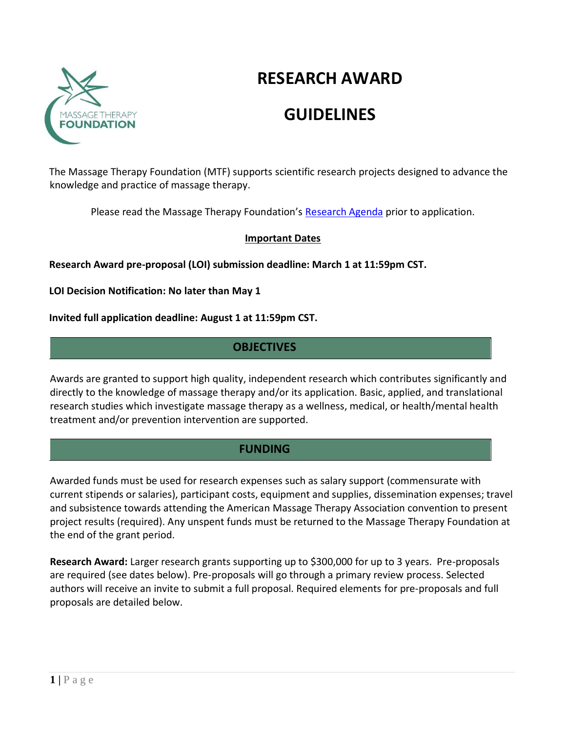

# **RESEARCH AWARD**

# **GUIDELINES**

The Massage Therapy Foundation (MTF) supports scientific research projects designed to advance the knowledge and practice of massage therapy.

Please read the Massage Therapy Foundation's Research Agenda prior to application.

#### **Important Dates**

**Research Award pre-proposal (LOI) submission deadline: March 1 at 11:59pm CST.** 

**LOI Decision Notification: No later than May 1**

**Invited full application deadline: August 1 at 11:59pm CST.**

# **OBJECTIVES**

Awards are granted to support high quality, independent research which contributes significantly and directly to the knowledge of massage therapy and/or its application. Basic, applied, and translational research studies which investigate massage therapy as a wellness, medical, or health/mental health treatment and/or prevention intervention are supported.

# **FUNDING**

Awarded funds must be used for research expenses such as salary support (commensurate with current stipends or salaries), participant costs, equipment and supplies, dissemination expenses; travel and subsistence towards attending the American Massage Therapy Association convention to present project results (required). Any unspent funds must be returned to the Massage Therapy Foundation at the end of the grant period.

**Research Award:** Larger research grants supporting up to \$300,000 for up to 3 years. Pre-proposals are required (see dates below). Pre-proposals will go through a primary review process. Selected authors will receive an invite to submit a full proposal. Required elements for pre-proposals and full proposals are detailed below.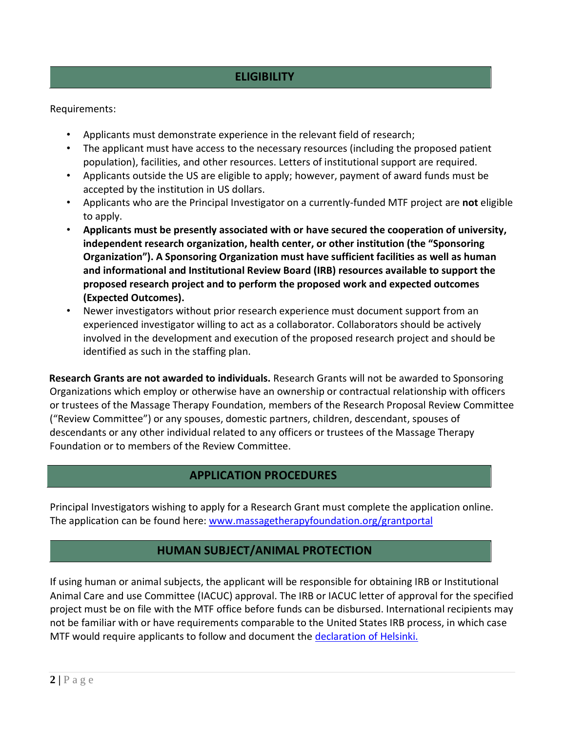### **ELIGIBILITY**

Requirements:

- Applicants must demonstrate experience in the relevant field of research;
- The applicant must have access to the necessary resources (including the proposed patient population), facilities, and other resources. Letters of institutional support are required.
- Applicants outside the US are eligible to apply; however, payment of award funds must be accepted by the institution in US dollars.
- Applicants who are the Principal Investigator on a currently-funded MTF project are **not** eligible to apply.
- **Applicants must be presently associated with or have secured the cooperation of university, independent research organization, health center, or other institution (the "Sponsoring Organization"). A Sponsoring Organization must have sufficient facilities as well as human and informational and Institutional Review Board (IRB) resources available to support the proposed research project and to perform the proposed work and expected outcomes (Expected Outcomes).**
- Newer investigators without prior research experience must document support from an experienced investigator willing to act as a collaborator. Collaborators should be actively involved in the development and execution of the proposed research project and should be identified as such in the staffing plan.

**Research Grants are not awarded to individuals.** Research Grants will not be awarded to Sponsoring Organizations which employ or otherwise have an ownership or contractual relationship with officers or trustees of the Massage Therapy Foundation, members of the Research Proposal Review Committee ("Review Committee") or any spouses, domestic partners, children, descendant, spouses of descendants or any other individual related to any officers or trustees of the Massage Therapy Foundation or to members of the Review Committee.

#### **APPLICATION PROCEDURES**

Principal Investigators wishing to apply for a Research Grant must complete the application online. The application can be found here: www.massagetherapyfoundation.org/grantportal

### **HUMAN SUBJECT/ANIMAL PROTECTION**

If using human or animal subjects, the applicant will be responsible for obtaining IRB or Institutional Animal Care and use Committee (IACUC) approval. The IRB or IACUC letter of approval for the specified project must be on file with the MTF office before funds can be disbursed. International recipients may not be familiar with or have requirements comparable to the United States IRB process, in which case MTF would require applicants to follow and document the declaration of Helsinki.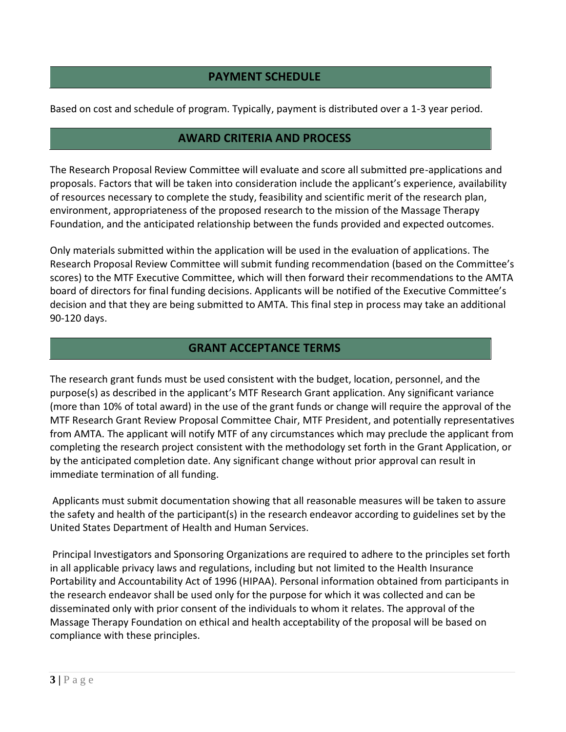# **PAYMENT SCHEDULE**

Based on cost and schedule of program. Typically, payment is distributed over a 1-3 year period.

## **AWARD CRITERIA AND PROCESS**

The Research Proposal Review Committee will evaluate and score all submitted pre-applications and proposals. Factors that will be taken into consideration include the applicant's experience, availability of resources necessary to complete the study, feasibility and scientific merit of the research plan, environment, appropriateness of the proposed research to the mission of the Massage Therapy Foundation, and the anticipated relationship between the funds provided and expected outcomes.

Only materials submitted within the application will be used in the evaluation of applications. The Research Proposal Review Committee will submit funding recommendation (based on the Committee's scores) to the MTF Executive Committee, which will then forward their recommendations to the AMTA board of directors for final funding decisions. Applicants will be notified of the Executive Committee's decision and that they are being submitted to AMTA. This final step in process may take an additional 90-120 days.

## **GRANT ACCEPTANCE TERMS**

The research grant funds must be used consistent with the budget, location, personnel, and the purpose(s) as described in the applicant's MTF Research Grant application. Any significant variance (more than 10% of total award) in the use of the grant funds or change will require the approval of the MTF Research Grant Review Proposal Committee Chair, MTF President, and potentially representatives from AMTA. The applicant will notify MTF of any circumstances which may preclude the applicant from completing the research project consistent with the methodology set forth in the Grant Application, or by the anticipated completion date. Any significant change without prior approval can result in immediate termination of all funding.

Applicants must submit documentation showing that all reasonable measures will be taken to assure the safety and health of the participant(s) in the research endeavor according to guidelines set by the United States Department of Health and Human Services.

Principal Investigators and Sponsoring Organizations are required to adhere to the principles set forth in all applicable privacy laws and regulations, including but not limited to the Health Insurance Portability and Accountability Act of 1996 (HIPAA). Personal information obtained from participants in the research endeavor shall be used only for the purpose for which it was collected and can be disseminated only with prior consent of the individuals to whom it relates. The approval of the Massage Therapy Foundation on ethical and health acceptability of the proposal will be based on compliance with these principles.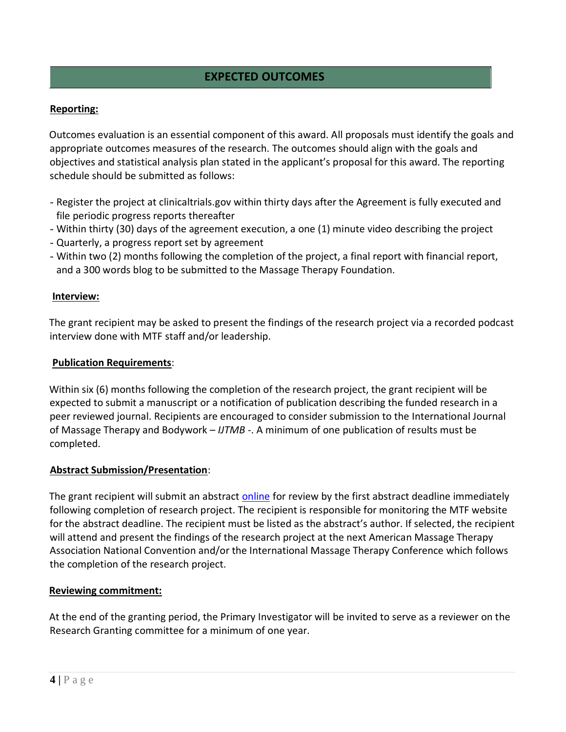# **EXPECTED OUTCOMES**

#### **Reporting:**

Outcomes evaluation is an essential component of this award. All proposals must identify the goals and appropriate outcomes measures of the research. The outcomes should align with the goals and objectives and statistical analysis plan stated in the applicant's proposal for this award. The reporting schedule should be submitted as follows:

- Register the project at clinicaltrials.gov within thirty days after the Agreement is fully executed and file periodic progress reports thereafter
- Within thirty (30) days of the agreement execution, a one (1) minute video describing the project
- Quarterly, a progress report set by agreement
- Within two (2) months following the completion of the project, a final report with financial report, and a 300 words blog to be submitted to the Massage Therapy Foundation.

#### **Interview:**

The grant recipient may be asked to present the findings of the research project via a recorded podcast interview done with MTF staff and/or leadership.

#### **Publication Requirements**:

Within six (6) months following the completion of the research project, the grant recipient will be expected to submit a manuscript or a notification of publication describing the funded research in a peer reviewed journal. Recipients are encouraged to consider submission to the International Journal of Massage Therapy and Bodywork – *IJTMB* -. A minimum of one publication of results must be completed.

#### **Abstract Submission/Presentation**:

The grant recipient will submit an abstract online for review by the first abstract deadline immediately following completion of research project. The recipient is responsible for monitoring the MTF website for the abstract deadline. The recipient must be listed as the abstract's author. If selected, the recipient will attend and present the findings of the research project at the next American Massage Therapy Association National Convention and/or the International Massage Therapy Conference which follows the completion of the research project.

#### **Reviewing commitment:**

At the end of the granting period, the Primary Investigator will be invited to serve as a reviewer on the Research Granting committee for a minimum of one year.